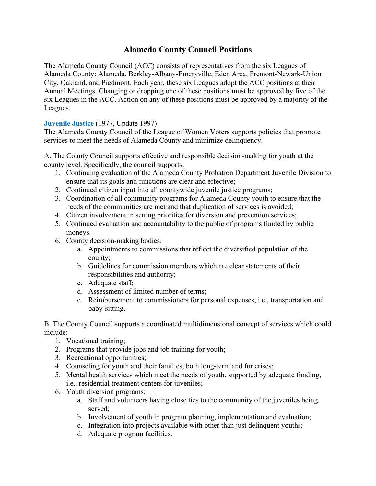# **Alameda County Council Positions**

The Alameda County Council (ACC) consists of representatives from the six Leagues of Alameda County: Alameda, Berkley-Albany-Emeryville, Eden Area, Fremont-Newark-Union City, Oakland, and Piedmont. Each year, these six Leagues adopt the ACC positions at their Annual Meetings. Changing or dropping one of these positions must be approved by five of the six Leagues in the ACC. Action on any of these positions must be approved by a majority of the Leagues.

# **Juvenile Justice** (1977, Update 1997)

The Alameda County Council of the League of Women Voters supports policies that promote services to meet the needs of Alameda County and minimize delinquency.

A. The County Council supports effective and responsible decision-making for youth at the county level. Specifically, the council supports:

- 1. Continuing evaluation of the Alameda County Probation Department Juvenile Division to ensure that its goals and functions are clear and effective;
- 2. Continued citizen input into all countywide juvenile justice programs;
- 3. Coordination of all community programs for Alameda County youth to ensure that the needs of the communities are met and that duplication of services is avoided;
- 4. Citizen involvement in setting priorities for diversion and prevention services;
- 5. Continued evaluation and accountability to the public of programs funded by public moneys.
- 6. County decision-making bodies:
	- a. Appointments to commissions that reflect the diversified population of the county;
	- b. Guidelines for commission members which are clear statements of their responsibilities and authority;
	- c. Adequate staff;
	- d. Assessment of limited number of terms;
	- e. Reimbursement to commissioners for personal expenses, i.e., transportation and baby-sitting.

B. The County Council supports a coordinated multidimensional concept of services which could include:

- 1. Vocational training;
- 2. Programs that provide jobs and job training for youth;
- 3. Recreational opportunities;
- 4. Counseling for youth and their families, both long-term and for crises;
- 5. Mental health services which meet the needs of youth, supported by adequate funding, i.e., residential treatment centers for juveniles;
- 6. Youth diversion programs:
	- a. Staff and volunteers having close ties to the community of the juveniles being served;
	- b. Involvement of youth in program planning, implementation and evaluation;
	- c. Integration into projects available with other than just delinquent youths;
	- d. Adequate program facilities.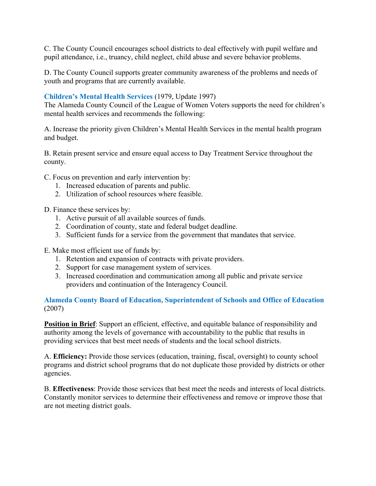C. The County Council encourages school districts to deal effectively with pupil welfare and pupil attendance, i.e., truancy, child neglect, child abuse and severe behavior problems.

D. The County Council supports greater community awareness of the problems and needs of youth and programs that are currently available.

## **Children's Mental Health Services** (1979, Update 1997)

The Alameda County Council of the League of Women Voters supports the need for children's mental health services and recommends the following:

A. Increase the priority given Children's Mental Health Services in the mental health program and budget.

B. Retain present service and ensure equal access to Day Treatment Service throughout the county.

C. Focus on prevention and early intervention by:

- 1. Increased education of parents and public.
- 2. Utilization of school resources where feasible.

D. Finance these services by:

- 1. Active pursuit of all available sources of funds.
- 2. Coordination of county, state and federal budget deadline.
- 3. Sufficient funds for a service from the government that mandates that service.

E. Make most efficient use of funds by:

- 1. Retention and expansion of contracts with private providers.
- 2. Support for case management system of services.
- 3. Increased coordination and communication among all public and private service providers and continuation of the Interagency Council.

#### **Alameda County Board of Education, Superintendent of Schools and Office of Education** (2007)

**Position in Brief**: Support an efficient, effective, and equitable balance of responsibility and authority among the levels of governance with accountability to the public that results in providing services that best meet needs of students and the local school districts.

A. **Efficiency:** Provide those services (education, training, fiscal, oversight) to county school programs and district school programs that do not duplicate those provided by districts or other agencies.

B. **Effectiveness**: Provide those services that best meet the needs and interests of local districts. Constantly monitor services to determine their effectiveness and remove or improve those that are not meeting district goals.